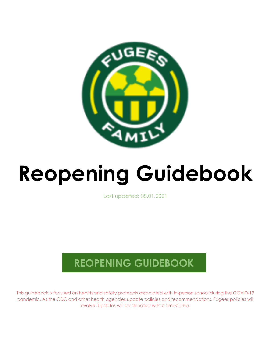

# **Reopening Guidebook**

Last updated: 08.01.2021

# **REOPENING GUIDEBOOK**

This guidebook is focused on health and safety protocols associated with in-person school during the COVID-19 pandemic. As the CDC and other health agencies update policies and recommendations, Fugees policies will evolve. Updates will be denoted with a timestamp.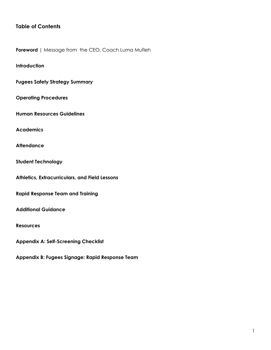# **Table of Contents**

**Foreword** | Message from the CEO, Coach Luma Mufleh

# **Introduction**

**Fugees Safety Strategy Summary**

**Operating Procedures**

**Human Resources Guidelines**

**Academics**

**Attendance**

**Student Technology**

**Athletics, Extracurriculars, and Field Lessons**

**Rapid Response Team and Training**

**Additional Guidance**

**Resources**

**Appendix A: Self-Screening Checklist**

**Appendix B: Fugees Signage: Rapid Response Team**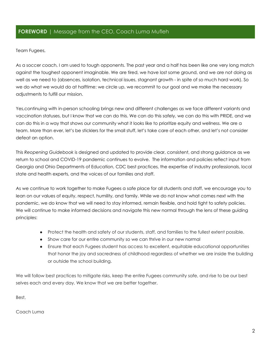# **FOREWORD** | Message from the CEO, Coach Luma Mufleh

Team Fugees,

As a soccer coach, I am used to tough opponents. The past year and a half has been like one very long match against the toughest opponent imaginable. We are tired, we have lost some ground, and we are not doing as well as we need to (absences, isolation, technical issues, stagnant growth - in spite of so much hard work). So we do what we would do at halftime: we circle up, we recommit to our goal and we make the necessary adjustments to fulfill our mission.

Yes,continuing with in-person schooling brings new and different challenges as we face different variants and vaccination statuses, but I know that we can do this. We can do this safely, we can do this with PRIDE, and we can do this in a way that shows our community what it looks like to prioritize equity and wellness. We are a team. More than ever, let's be sticklers for the small stuff, let's take care of each other, and let's not consider defeat an option.

This *Reopening Guidebook* is designed and updated to provide clear, consistent, and strong guidance as we return to school and COVID-19 pandemic continues to evolve. The information and policies reflect input from Georgia and Ohio Departments of Education, CDC best practices, the expertise of industry professionals, local state and health experts, and the voices of our families and staff.

As we continue to work together to make Fugees a safe place for all students and staff, we encourage you to lean on our values of equity, respect, humility, and family. While we do not know what comes next with the pandemic, we do know that we will need to stay informed, remain flexible, and hold tight to safety policies. We will continue to make informed decisions and navigate this new normal through the lens of these guiding principles:

- Protect the health and safety of our students, staff, and families to the fullest extent possible.
- Show care for our entire community so we can thrive in our new normal
- Ensure that each Fugees student has access to excellent, equitable educational opportunities that honor the joy and sacredness of childhood regardless of whether we are inside the building or outside the school building.

We will follow best practices to mitigate risks, keep the entire Fugees community safe, and rise to be our best selves each and every day. We know that we are better together.

Best,

Coach Luma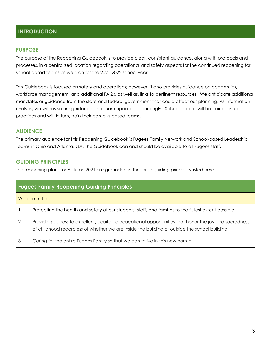# **INTRODUCTION**

# **PURPOSE**

The purpose of the Reopening Guidebook is to provide clear, consistent guidance, along with protocols and processes, in a centralized location regarding operational and safety aspects for the continued reopening for school-based teams as we plan for the 2021-2022 school year.

This Guidebook is focused on safety and operations; however, it also provides guidance on academics, workforce management, and additional FAQs, as well as, links to pertinent resources. We anticipate additional mandates or guidance from the state and federal government that could affect our planning. As information evolves, we will revise our guidance and share updates accordingly. School leaders will be trained in best practices and will, in turn, train their campus-based teams.

# **AUDIENCE**

The primary audience for this Reopening Guidebook is Fugees Family Network and School-based Leadership Teams in Ohio and Atlanta, GA. The Guidebook can and should be available to all Fugees staff.

# **GUIDING PRINCIPLES**

The reopening plans for Autumn 2021 are grounded in the three guiding principles listed here.

| <b>Fugees Family Reopening Guiding Principles</b>                                                    |
|------------------------------------------------------------------------------------------------------|
| We commit to:                                                                                        |
| Protecting the health and safety of our students, staff, and families to the fullest extent possible |

- 2. Providing access to excellent, equitable educational opportunities that honor the joy and sacredness of childhood regardless of whether we are inside the building or outside the school building
- 3. Caring for the entire Fugees Family so that we can thrive in this new normal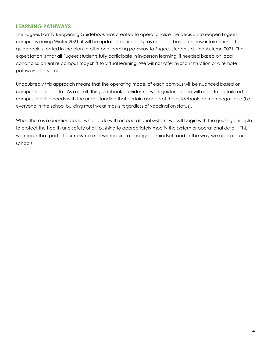# **LEARNING PATHWAYS**

The Fugees Family Reopening Guidebook was created to operationalize the decision to reopen Fugees campuses during Winter 2021; it will be updated periodically, as needed, based on new information. The guidebook is rooted in the plan to offer one learning pathway to Fugees students during Autumn 2021. The expectation is that **all** Fugees students fully participate in in-person learning; if needed based on local conditions, an entire campus may shift to virtual learning. We will not offer hybrid instruction or a remote pathway at this time.

Undoubtedly this approach means that the operating model of each campus will be nuanced based on campus-specific data. As a result, this guidebook provides network guidance and will need to be tailored to campus-specific needs with the understanding that certain aspects of the guidebook are non-negotiable (i.e. everyone in the school building must wear masks regardless of vaccination status).

When there is a question about what to do with an operational system, we will begin with the guiding principle to protect the health and safety of all, pushing to appropriately modify the system or operational detail. This will mean that part of our new normal will require a change in mindset, and in the way we operate our schools.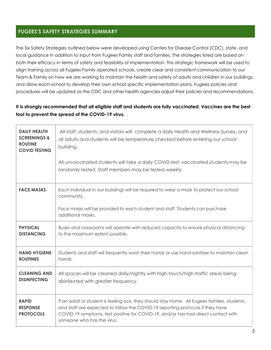# **FUGEES'S SAFETY STRATEGIES SUMMARY**

The Six Safety Strategies outlined below were developed using Centers for Disease Control (CDC), state, and local guidance in addition to input from Fugees Family staff and families. The strategies listed are based on both their efficacy in terms of safety and feasibility of implementation. This strategic framework will be used to align training across all Fugees Family operated schools, create clear and consistent communication to our Team & Family on how we are working to maintain the health and safety of adults and children in our buildings, and allow each school to develop their own school specific implementation plans. Fugees policies and procedures will be updated as the CDC and other health agencies adjust their policies and recommendations.

# **It is strongly recommended that all eligible staff and students are fully vaccinated. Vaccines are the best tool to prevent the spread of the COVID-19 virus.**

| <b>DAILY HEALTH</b><br><b>SCREENINGS &amp;</b><br><b>ROUTINE</b><br><b>COVID TESTING</b> | All staff, students, and visitors will complete a daily Health and Wellness Survey, and<br>all adults and students will be temperature checked before entering our school<br>building.<br>All unvaccinated students will take a daily COVID test; vaccinated students may be<br>randomly tested. Staff members may be tested weekly. |  |  |
|------------------------------------------------------------------------------------------|--------------------------------------------------------------------------------------------------------------------------------------------------------------------------------------------------------------------------------------------------------------------------------------------------------------------------------------|--|--|
| <b>FACE MASKS</b>                                                                        | Each individual in our buildings will be required to wear a mask to protect our school<br>community.<br>Face masks will be provided to each student and staff. Students can purchase<br>additional masks.                                                                                                                            |  |  |
| <b>PHYSICAL</b>                                                                          | Buses and classrooms will operate with reduced capacity to ensure physical distancing                                                                                                                                                                                                                                                |  |  |
| <b>DISTANCING</b>                                                                        | to the maximum extent possible.                                                                                                                                                                                                                                                                                                      |  |  |
| <b>HAND HYGIENE</b>                                                                      | Students and staff will frequently wash their hands or use hand sanitizer to maintain clean                                                                                                                                                                                                                                          |  |  |
| <b>ROUTINES</b>                                                                          | hands.                                                                                                                                                                                                                                                                                                                               |  |  |
| <b>CLEANING AND</b>                                                                      | All spaces will be cleaned daily/nightly with high-touch/high-traffic areas being                                                                                                                                                                                                                                                    |  |  |
| <b>DISINFECTING</b>                                                                      | disinfected with greater frequency.                                                                                                                                                                                                                                                                                                  |  |  |
| <b>RAPID</b><br><b>RESPONSE</b><br><b>PROTOCOLS</b>                                      | If an adult or student is feeling sick, they should stay home. All Fugees families, students,<br>and staff are expected to follow the COVID-19 reporting protocols if they have<br>COVID-19 symptoms, test positive for COVID-19, and/or has had direct contact with<br>someone who has the virus.                                   |  |  |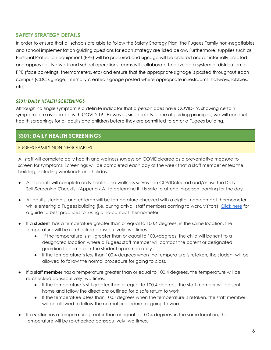# **SAFETY STRATEGY DETAILS**

In order to ensure that all schools are able to follow the Safety Strategy Plan, the Fugees Family non-negotiables and school implementation guiding questions for each strategy are listed below. Furthermore, supplies such as Personal Protection equipment (PPE) will be procured and signage will be ordered and/or internally created and approved. Network and school operations teams will collaborate to develop a system of distribution for PPE (face coverings, thermometers, etc) and ensure that the appropriate signage is posted throughout each campus (CDC signage, internally created signage posted where appropriate in restrooms, hallways, lobbies, etc).

# *SS01: DAILY HEALTH SCREENINGS*

Although no single symptom is a definite indicator that a person does have COVID-19, showing certain symptoms are associated with COVID-19. However, since safety is one of guiding principles, we will conduct health screenings for all adults and children before they are permitted to enter a Fugees building.

# **SS01: DAILY HEALTH SCREENINGS**

# FUGEES FAMILY NON-NEGOTIABLES

All staff will complete daily health and wellness surveys on COVIDcleared as a preventative measure to screen for symptoms. Screenings will be completed each day of the week that a staff member enters the building, including weekends and holidays.

- All students will complete daily health and wellness surveys on COVIDcleared and/or use the Daily Self-Screening Checklist (Appendix A) to determine if it is safe to attend in-person learning for the day.
- All adults, students, and children will be temperature checked with a digital, non-contact thermometer while entering a Fugees building (i.e. during arrival, staff members coming to work, visitors). [Click](https://www.fda.gov/medical-devices/general-hospital-devices-and-supplies/non-contact-infrared-thermometers) here for a guide to best practices for using a no-contact thermometer.
- If a **student** has a temperature greater than or equal to 100.4 degrees, in the same location, the temperature will be re-checked consecutively two times.
	- If the temperature is still greater than or equal to 100.4degrees, the child will be sent to a designated location where a Fugees staff member will contact the parent or designated guardian to come pick the student up immediately.
	- If the temperature is less than 100.4 degrees when the temperature is retaken, the student will be allowed to follow the normal procedure for going to class.
- If a **staff member** has a temperature greater than or equal to 100.4 degrees, the temperature will be re-checked consecutively two times.
	- If the temperature is still greater than or equal to 100.4 degrees, the staff member will be sent home and follow the directions outlined for a safe return to work.
	- If the temperature is less than 100.4degrees when the temperature is retaken, the staff member will be allowed to follow the normal procedure for going to work.
- If a **visitor** has a temperature greater than or equal to 100.4 degrees, in the same location, the temperature will be re-checked consecutively two times.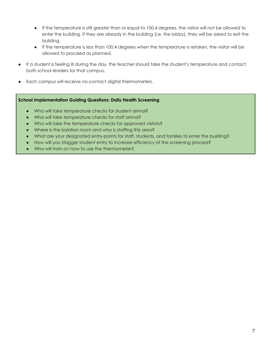- If the temperature is still greater than or equal to 100.4 degrees, the visitor will not be allowed to enter the building. If they are already in the building (i.e. the lobby), they will be asked to exit the building.
- If the temperature is less than 100.4 degrees when the temperature is retaken, the visitor will be allowed to proceed as planned.
- If a student is feeling ill during the day, the teacher should take the student's temperature and contact both school leaders for that campus.
- Each campus will receive no-contact digital thermometers.

### **School Implementation Guiding Questions: Daily Health Screening**

- Who will take temperature checks for student arrival?
- Who will take temperature checks for staff arrival?
- Who will take the temperature checks for approved visitors?
- Where is the isolation room and who is staffing this area?
- What are your designated entry-points for staff, students, and families to enter the building?
- How will you stagger student entry to increase efficiency of the screening process?
- Who will train on how to use the thermometer?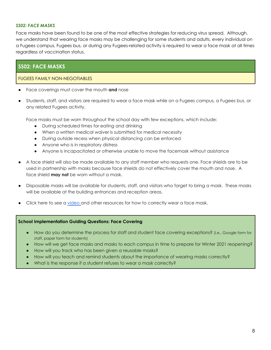### *SS02: FACE MASKS*

Face masks have been found to be one of the most effective strategies for reducing virus spread. Although, we understand that wearing face masks may be challenging for some students and adults, every individual on a Fugees campus, Fugees bus, or during any Fugees-related activity is required to wear a face mask at all times regardless of vaccination status.

# **SS02: FACE MASKS**

### FUGEES FAMILY NON-NEGOTIABLES

- Face coverings must cover the mouth **and** nose
- Students, staff, and visitors are required to wear a face mask while on a Fugees campus, a Fugees bus, or any related Fugees activity.

Face masks must be worn throughout the school day with few exceptions, which include:

- During scheduled times for eating and drinking
- When a written medical waiver is submitted for medical necessity
- During outside recess when physical distancing can be enforced
- Anyone who is in respiratory distress
- Anyone is incapacitated or otherwise unable to move the facemask without assistance
- A face shield will also be made available to any staff member who requests one. Face shields are to be used in partnership with masks because face shields do not effectively cover the mouth and nose. A face shield **may not** be worn without a mask.
- Disposable masks will be available for students, staff, and visitors who forget to bring a mask. These masks will be available at the building entrances and reception areas.
- Click here to see a [video](https://www.youtube.com/watch?v=PG-xFTktkNw) and other resources for how to correctly wear a face mask.

### **School Implementation Guiding Questions: Face Covering**

- How do you determine the process for staff and student face covering exceptions? (i.e., Google form for staff, paper form for students)
- How will we get face masks and masks to each campus in time to prepare for Winter 2021 reopening?
- How will you track who has been given a reusable masks?
- How will you teach and remind students about the importance of wearing masks correctly?
- What is the response if a student refuses to wear a mask correctly?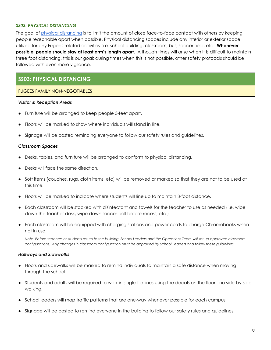### *SS03: PHYSICAL DISTANCING*

The goal of physical [distancing](https://www.youtube.com/watch?v=Ypm34dEGa2o) is to limit the amount of close face-to-face contact with others by keeping people reasonable apart when possible. Physical distancing spaces include any interior or exterior space utilized for any Fugees-related activities (i.e. school building, classroom, bus, soccer field, etc. **Whenever possible, people should stay at least arm's length apart.** Although times will arise when it is difficult to maintain three foot distancing, this is our goal; during times when this is not possible, other safety protocols should be followed with even more vigilance.

# **SS03: PHYSICAL DISTANCING**

### FUGEES FAMILY NON-NEGOTIABLES

### *Visitor & Reception Areas*

- Furniture will be arranged to keep people 3-feet apart.
- Floors will be marked to show where individuals will stand in line.
- Signage will be posted reminding everyone to follow our safety rules and guidelines.

### *Classroom Spaces*

- Desks, tables, and furniture will be arranged to conform to physical distancing.
- Desks will face the same direction.
- Soft items (couches, rugs, cloth items, etc) will be removed or marked so that they are not to be used at this time.
- Floors will be marked to indicate where students will line up to maintain 3-foot distance.
- Each classroom will be stocked with disinfectant and towels for the teacher to use as needed (i.e. wipe down the teacher desk, wipe down soccer ball before recess, etc.)
- Each classroom will be equipped with charging stations and power cords to charge Chromebooks when not in use.

Note: Before teachers or students return to the building, School Leaders and the Operations Team will set up approved classroom configurations. Any changes in classroom configuration must be approved by School Leaders and follow these guidelines.

### *Hallways and Sidewalks*

- Floors and sidewalks will be marked to remind individuals to maintain a safe distance when moving through the school.
- Students and adults will be required to walk in single-file lines using the decals on the floor no side-by-side walking.
- School leaders will map traffic patterns that are one-way whenever possible for each campus.
- Signage will be posted to remind everyone in the building to follow our safety rules and guidelines.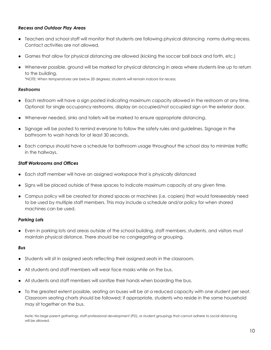# *Recess and Outdoor Play Areas*

- Teachers and school staff will monitor that students are following physical distancing norms during recess. Contact activities are not allowed.
- Games that allow for physical distancing are allowed (kicking the soccer ball back and forth, etc.)
- Whenever possible, ground will be marked for physical distancing in areas where students line up to return to the building.

*\*NOTE: When temperatures are below 20 degrees, students will remain indoors for recess.*

# *Restrooms*

- Each restroom will have a sign posted indicating maximum capacity allowed in the restroom at any time. Optional: for single occupancy restrooms, display an occupied/not occupied sign on the exterior door.
- Whenever needed, sinks and toilets will be marked to ensure appropriate distancing.
- Signage will be posted to remind everyone to follow the safety rules and guidelines. Signage in the bathroom to wash hands for at least 30 seconds.
- Each campus should have a schedule for bathroom usage throughout the school day to minimize traffic in the hallways.

# *Staff Workrooms and Offices*

- Each staff member will have an assigned workspace that is physically distanced
- Signs will be placed outside of these spaces to indicate maximum capacity at any given time.
- Campus policy will be created for shared spaces or machines (i.e. copiers) that would foreseeably need to be used by multiple staff members. This may include a schedule and/or policy for when shared machines can be used.

# *Parking Lots*

● Even in parking lots and areas outside of the school building, staff members, students, and visitors must maintain physical distance. There should be no congregating or grouping.

### *Bus*

- Students will sit in assigned seats reflecting their assigned seats in the classroom.
- All students and staff members will wear face masks while on the bus.
- All students and staff members will sanitize their hands when boarding the bus.
- To the greatest extent possible, seating on buses will be at a reduced capacity with one student per seat. Classroom seating charts should be followed; if appropriate, students who reside in the same household may sit together on the bus.

Note: No large parent gatherings, staff professional development (PD), or student groupings that cannot adhere to social distancing will be allowed.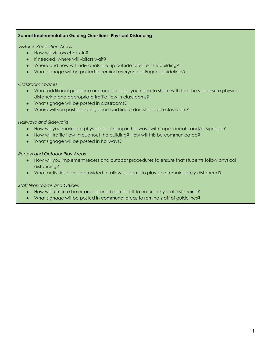# **School Implementation Guiding Questions: Physical Distancing**

*Visitor & Reception Areas*

- How will visitors check-in?
- If needed, where will visitors wait?
- Where and how will individuals line up outside to enter the building?
- What signage will be posted to remind everyone of Fugees guidelines?

### *Classroom Spaces*

- What additional guidance or procedures do you need to share with teachers to ensure physical distancing and appropriate traffic flow in classrooms?
- What signage will be posted in classrooms?
- Where will you post a seating chart and line order list in each classroom?

### *Hallways and Sidewalks*

- How will you mark safe physical distancing in hallways with tape, decals, and/or signage?
- How will traffic flow throughout the building? How will this be communicated?
- What signage will be posted in hallways?

### *Recess and Outdoor Play Areas*

- How will you implement recess and outdoor procedures to ensure that students follow physical distancing?
- What activities can be provided to allow students to play and remain safely distanced?

# *Staff Workrooms and Offices*

- How will furniture be arranged and blocked off to ensure physical distancing?
- What signage will be posted in communal areas to remind staff of guidelines?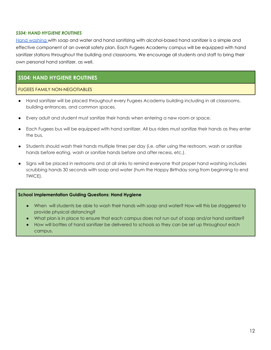### *SS04: HAND HYGIENE ROUTINES*

Hand [washing](https://www.youtube.com/watch?v=d914EnpU4Fo&t=18s) with soap and water and hand sanitizing with alcohol-based hand sanitizer is a simple and effective component of an overall safety plan. Each Fugees Academy campus will be equipped with hand sanitizer stations throughout the building and classrooms. We encourage all students and staff to bring their own personal hand sanitizer, as well.

# **SS04: HAND HYGIENE ROUTINES**

### FUGEES FAMILY NON-NEGOTIABLES

- Hand sanitizer will be placed throughout every Fugees Academy building including in all classrooms, building entrances, and common spaces.
- Every adult and student must sanitize their hands when entering a new room or space.
- Each Fugees bus will be equipped with hand sanitizer. All bus riders must sanitize their hands as they enter the bus.
- Students should wash their hands multiple times per day (i.e. after using the restroom, wash or sanitize hands before eating, wash or sanitize hands before and after recess, etc.).
- Signs will be placed in restrooms and at all sinks to remind everyone that proper hand washing includes scrubbing hands 30 seconds with soap and water (hum the Happy Birthday song from beginning to end TWICE).

### **School Implementation Guiding Questions: Hand Hygiene**

- When will students be able to wash their hands with soap and water? How will this be staggered to provide physical distancing?
- What plan is in place to ensure that each campus does not run out of soap and/or hand sanitizer?
- How will bottles of hand sanitizer be delivered to schools so they can be set up throughout each campus.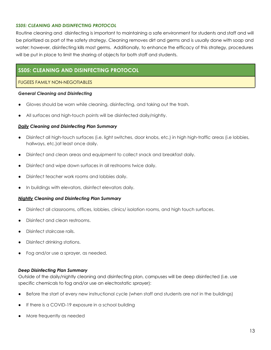# *SS05: CLEANING AND DISINFECTING PROTOCOL*

Routine cleaning and disinfecting is important to maintaining a safe environment for students and staff and will be prioritized as part of the safety strategy. Cleaning removes dirt and germs and is usually done with soap and water; however, disinfecting kills most germs. Additionally, to enhance the efficacy of this strategy, procedures will be put in place to limit the sharing of objects for both staff and students.

# **SS05: CLEANING AND DISINFECTING PROTOCOL**

### FUGEES FAMILY NON-NEGOTIABLES

### *General Cleaning and Disinfecting*

- Gloves should be worn while cleaning, disinfecting, and taking out the trash.
- All surfaces and high-touch points will be disinfected daily/nightly.

### *Daily Cleaning and Disinfecting Plan Summary*

- Disinfect all high-touch surfaces (i.e. light switches, door knobs, etc.) in high high-traffic areas (i.e lobbies, hallways, etc.)at least once daily.
- Disinfect and clean areas and equipment to collect snack and breakfast daily.
- Disinfect and wipe down surfaces in all restrooms twice daily.
- Disinfect teacher work rooms and lobbies daily.
- In buildings with elevators, disinfect elevators daily.

### *Nightly Cleaning and Disinfecting Plan Summary*

- Disinfect all classrooms, offices, lobbies, clinics/ isolation rooms, and high touch surfaces.
- Disinfect and clean restrooms.
- Disinfect staircase rails.
- Disinfect drinking stations.
- Fog and/or use a sprayer, as needed.

### *Deep Disinfecting Plan Summary*

Outside of the daily/nightly cleaning and disinfecting plan, campuses will be deep disinfected (i.e. use specific chemicals to fog and/or use an electrostatic sprayer):

- Before the start of every new instructional cycle (when staff and students are not in the buildings)
- If there is a COVID-19 exposure in a school building
- More frequently as needed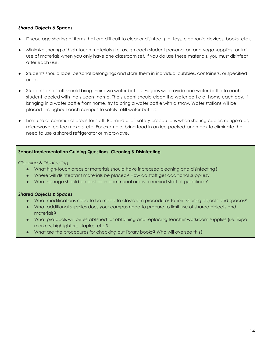# *Shared Objects & Spaces*

- Discourage sharing of items that are difficult to clear or disinfect (i.e. toys, electronic devices, books, etc).
- Minimize sharing of high-touch materials (i.e. assign each student personal art and yoga supplies) or limit use of materials when you only have one classroom set. If you do use these materials, you must disinfect after each use.
- Students should label personal belongings and store them in individual cubbies, containers, or specified areas.
- Students and staff should bring their own water bottles. Fugees will provide one water bottle to each student labeled with the student name. The student should clean the water bottle at home each day. If bringing in a water bottle from home, try to bring a water bottle with a straw. Water stations will be placed throughout each campus to safely refill water bottles.
- Limit use of communal areas for staff. Be mindful of safety precautions when sharing copier, refrigerator, microwave, coffee makers, etc. For example, bring food in an ice-packed lunch box to eliminate the need to use a shared refrigerator or microwave.

# **School Implementation Guiding Questions: Cleaning & Disinfecting**

*Cleaning & Disinfecting*

- What high-touch areas or materials should have increased cleaning and disinfecting?
- Where will disinfectant materials be placed? How do staff get additional supplies?
- What signage should be posted in communal areas to remind staff of guidelines?

# *Shared Objects & Spaces*

- What modifications need to be made to classroom procedures to limit sharing objects and spaces?
- What additional supplies does your campus need to procure to limit use of shared objects and materials?
- What protocols will be established for obtaining and replacing teacher workroom supplies (i.e. Expo markers, highlighters, staples, etc)?
- What are the procedures for checking out library books? Who will oversee this?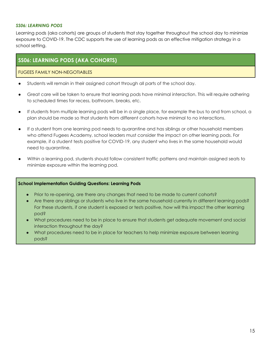### *SS06: LEARNING PODS*

Learning pods (aka cohorts) are groups of students that stay together throughout the school day to minimize exposure to COVID-19. The CDC supports the use of learning pods as an effective mitigation strategy in a school setting.

# **SS06: LEARNING PODS (AKA COHORTS)**

# FUGEES FAMILY NON-NEGOTIABLES

- Students will remain in their assigned cohort through all parts of the school day.
- Great care will be taken to ensure that learning pods have minimal interaction. This will require adhering to scheduled times for recess, bathroom, breaks, etc.
- If students from multiple learning pods will be in a single place, for example the bus to and from school, a plan should be made so that students from different cohorts have minimal to no interactions.
- If a student from one learning pod needs to quarantine and has siblings or other household members who attend Fugees Academy, school leaders must consider the impact on other learning pods. For example, if a student tests positive for COVID-19, any student who lives in the same household would need to quarantine.
- Within a learning pod, students should follow consistent traffic patterns and maintain assigned seats to minimize exposure within the learning pod.

### **School Implementation Guiding Questions: Learning Pods**

- Prior to re-opening, are there any changes that need to be made to current cohorts?
- Are there any siblings or students who live in the same household currently in different learning pods? For these students, if one student is exposed or tests positive, how will this impact the other learning pod?
- What procedures need to be in place to ensure that students get adequate movement and social interaction throughout the day?
- What procedures need to be in place for teachers to help minimize exposure between learning pods?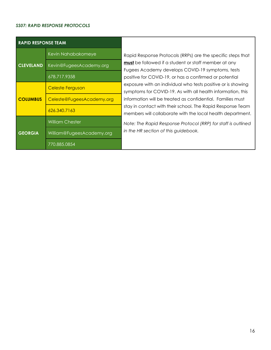### *SS07: RAPID RESPONSE PROTOCOLS*

| <b>RAPID RESPONSE TEAM</b> |                           |  |  |  |  |
|----------------------------|---------------------------|--|--|--|--|
|                            | Kevin Nahabakomeye        |  |  |  |  |
| <b>CLEVELAND</b>           | Kevin@FugeesAcademy.org   |  |  |  |  |
|                            | 678.717.9358              |  |  |  |  |
|                            | <b>Celeste Ferguson</b>   |  |  |  |  |
| <b>COLUMBUS</b>            | Celeste@FugeesAcademy.org |  |  |  |  |
|                            | 626.340.7163              |  |  |  |  |
|                            | <b>William Chester</b>    |  |  |  |  |
| <b>GEORGIA</b>             | William@FugeesAcademy.org |  |  |  |  |
|                            | 770.885.0854              |  |  |  |  |

Rapid Response Protocols (RRPs) are the specific steps that **must** be followed if a student or staff member at any Fugees Academy develops COVID-19 symptoms, tests positive for COVID-19, or has a confirmed or potential exposure with an individual who tests positive or is showing symptoms for COVID-19. As with all health information, this information will be treated as confidential. Families must stay in contact with their school. The Rapid Response Team members will collaborate with the local health department.

*Note: The Rapid Response Protocol (RRP) for staff is outlined in the HR section of this guidebook.*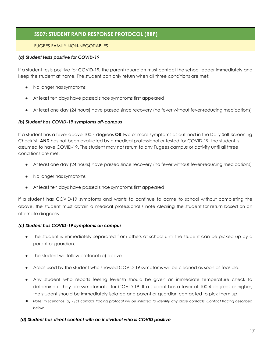# **SS07: STUDENT RAPID RESPONSE PROTOCOL (RRP)**

# FUGEES FAMILY NON-NEGOTIABLES

# *(a) Student tests positive for COVID-19*

If a student tests positive for COVID-19, the parent/guardian must contact the school leader immediately and keep the student at home. The student can only return when all three conditions are met:

- No longer has symptoms
- At least ten days have passed since symptoms first appeared
- At least one day (24 hours) have passed since recovery (no fever without fever-reducing medications)

# *(b) Student has COVID-19 symptoms off-campus*

If a student has a fever above 100.4 degrees **OR** two or more symptoms as outlined in the Daily Self-Screening Checklist, **AND** has not been evaluated by a medical professional or tested for COVID-19, the student is assumed to have COVID-19. The student may not return to any Fugees campus or activity until all three conditions are met:

- At least one day (24 hours) have passed since recovery (no fever without fever-reducing medications)
- No longer has symptoms
- At least ten days have passed since symptoms first appeared

If a student has COVID-19 symptoms and wants to continue to come to school without completing the above, the student must obtain a medical professional's note clearing the student for return based on an alternate diagnosis.

# *(c) Student has COVID-19 symptoms on campus*

- The student is immediately separated from others at school until the student can be picked up by a parent or guardian.
- The student will follow protocol (b) above.
- Areas used by the student who showed COVID-19 symptoms will be cleaned as soon as feasible.
- Any student who reports feeling feverish should be given an immediate temperature check to determine if they are symptomatic for COVID-19. If a student has a fever of 100.4 degrees or higher, the student should be immediately isolated and parent or guardian contacted to pick them up.
- Note: In scenarios (a) (c) contact tracing protocol will be initiated to identify any close contacts. Contact tracing described *below.*

# *(d) Student has direct contact with an individual who is COVID positive*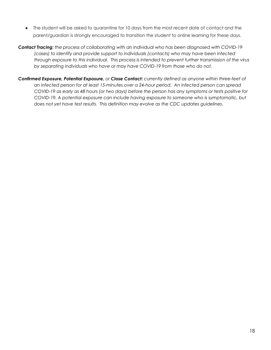- The student will be asked to quarantine for 10 days from the most recent date of contact and the parent/guardian is strongly encouraged to transition the student to online learning for these days.
- *Contact Tracing: the process of collaborating with an individual who has been diagnosed with COVID-19 (cases) to identify and provide support to individuals (contacts) who may have been infected through exposure to this individual. This process is intended to prevent further transmission of the virus by separating individuals who have or may have COVID-19 from those who do not.*
- *Confirmed Exposure, Potential Exposure, or Close Contact: currently defined as anyone within three-feet of an infected person for at least 15-minutes over a 24-hour period. An infected person can spread* COVID-19 as early as 48 hours (or two days) before the person has any symptoms or tests positive for *COVID-19. A potential exposure can include having exposure to someone who is symptomatic, but does not yet have test results. This definition may evolve as the CDC updates guidelines.*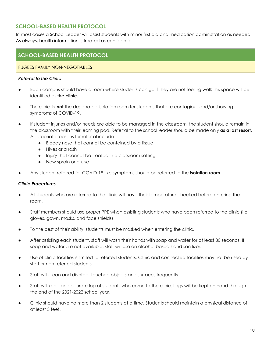# **SCHOOL-BASED HEALTH PROTOCOL**

In most cases a School Leader will assist students with minor first aid and medication administration as needed. As always, health information is treated as confidential.

# **SCHOOL-BASED HEALTH PROTOCOL**

# FUGEES FAMILY NON-NEGOTIABLES

### *Referral to the Clinic*

- Each campus should have a room where students can go if they are not feeling well; this space will be identified as **the clinic.**
- The clinic **is not** the designated isolation room for students that are contagious and/or showing symptoms of COVID-19.
- If student injuries and/or needs are able to be managed in the classroom, the student should remain in the classroom with their learning pod. Referral to the school leader should be made only **as a last resort**. Appropriate reasons for referral include:
	- Bloody nose that cannot be contained by a tissue.
	- Hives or a rash
	- Injury that cannot be treated in a classroom setting
	- New sprain or bruise
- Any student referred for COVID-19-like symptoms should be referred to the **isolation room**.

### *Clinic Procedures*

- All students who are referred to the clinic will have their temperature checked before entering the room.
- Staff members should use proper PPE when assisting students who have been referred to the clinic (i.e. gloves, gown, masks, and face shields)
- To the best of their ability, students must be masked when entering the clinic.
- After assisting each student, staff will wash their hands with soap and water for at least 30 seconds. If soap and water are not available, staff will use an alcohol-based hand sanitizer.
- Use of clinic facilities is limited to referred students. Clinic and connected facilities may not be used by staff or non-referred students.
- Staff will clean and disinfect touched objects and surfaces frequently.
- Staff will keep an accurate log of students who come to the clinic. Logs will be kept on hand through the end of the 2021-2022 school year.
- Clinic should have no more than 2 students at a time. Students should maintain a physical distance of at least 3 feet.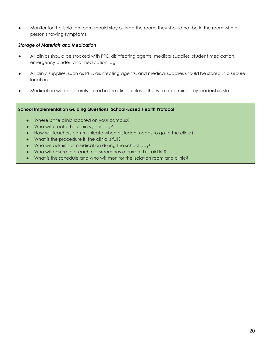Monitor for the isolation room should stay outside the room; they should not be in the room with a person showing symptoms.

# *Storage of Materials and Medication*

- All clinics should be stocked with PPE, disinfecting agents, medical supplies, student medication, emergency binder, and medication log.
- All clinic supplies, such as PPE, disinfecting agents, and medical supplies should be stored in a secure location.
- Medication will be securely stored in the clinic, unless otherwise determined by leadership staff.

# **School Implementation Guiding Questions: School-Based Health Protocol**

- Where is the clinic located on your campus?
- Who will create the clinic sign-in log?
- How will teachers communicate when a student needs to go to the clinic?
- What is the procedure if the clinic is full?
- Who will administer medication during the school day?
- Who will ensure that each classroom has a current first aid kit?
- What is the schedule and who will monitor the isolation room and clinic?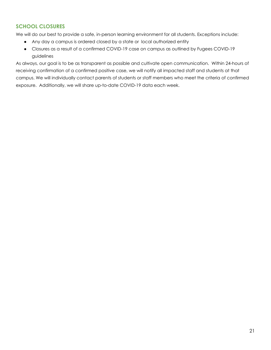# **SCHOOL CLOSURES**

We will do our best to provide a safe, in-person learning environment for all students. Exceptions include:

- Any day a campus is ordered closed by a state or local authorized entity
- Closures as a result of a confirmed COVID-19 case on campus as outlined by Fugees COVID-19 guidelines

As always, our goal is to be as transparent as possible and cultivate open communication. Within 24-hours of receiving confirmation of a confirmed positive case, we will notify all impacted staff and students at that campus. We will individually contact parents of students or staff members who meet the criteria of confirmed exposure. Additionally, we will share up-to-date COVID-19 data each week.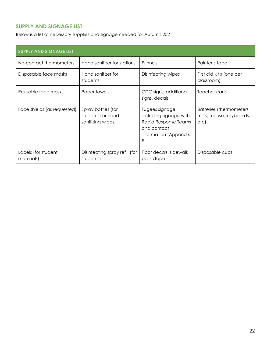# **SUPPLY AND SIGNAGE LIST**

Below is a list of necessary supplies and signage needed for Autumn 2021.

| <b>SUPPLY AND SIGNAGE LIST</b>    |                                                              |                                                                                                                |                                                             |  |  |
|-----------------------------------|--------------------------------------------------------------|----------------------------------------------------------------------------------------------------------------|-------------------------------------------------------------|--|--|
| No-contact thermometers           | Hand sanitizer for stations                                  | <b>Funnels</b>                                                                                                 | Painter's tape                                              |  |  |
| Disposable face masks             | Hand sanitizer for<br>students                               | Disinfecting wipes                                                                                             | First aid kit s (one per<br>classroom)                      |  |  |
| Reusable face masks               | Paper towels                                                 | CDC signs, additional<br>signs, decals                                                                         | Teacher carts                                               |  |  |
| Face shields (as requested)       | Spray bottles (for<br>students) or hand<br>sanitizing wipes. | Fugees signage<br>including signage with<br>Rapid Response Teams<br>and contact<br>information (Appendix<br>B) | Batteries (thermometers,<br>mics, mouse, keyboards,<br>etc) |  |  |
| Labels (for student<br>materials) | Disinfecting spray refill (for<br>students)                  | Floor decals, sidewalk<br>paint/tape                                                                           | Disposable cups                                             |  |  |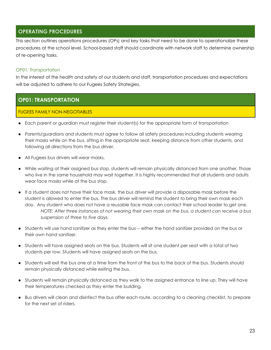# **OPERATING PROCEDURES**

This section outlines operations procedures (OPs) and key tasks that need to be done to operationalize these procedures at the school level. School-based staff should coordinate with network staff to determine ownership of re-opening tasks.

# *OP01: Transportation*

In the interest of the health and safety of our students and staff, transportation procedures and expectations will be adjusted to adhere to our Fugees Safety Strategies.

# **OP01: TRANSPORTATION**

# FUGEES FAMILY NON-NEGOTIABLES

- Each parent or guardian must register their student(s) for the appropriate form of transportation
- Parents/guardians and students must agree to follow all safety procedures including students wearing their masks while on the bus, sitting in the appropriate seat, keeping distance from other students, and following all directions from the bus driver.
- All Fugees bus drivers will wear masks.
- While waiting at their assigned bus stop, students will remain physically distanced from one another. Those who live in the same household may wait together. It is highly recommended that all students and adults wear face masks while at the bus stop.
- If a student does not have their face mask, the bus driver will provide a disposable mask before the student is allowed to enter the bus. The bus driver will remind the student to bring their own mask each day. Any student who does not have a reusable face mask can contact their school leader to get one. NOTE: After three instances of not wearing their own mask on the bus, a student can receive a bus *suspension of three to five days.*
- Students will use hand sanitizer as they enter the bus -- either the hand sanitizer provided on the bus or their own hand sanitizer.
- Students will have assigned seats on the bus. Students will sit one student per seat with a total of two students per row. Students will have assigned seats on the bus.
- Students will exit the bus one at a time from the front of the bus to the back of the bus. Students should remain physically distanced while exiting the bus.
- Students will remain physically distanced as they walk to the assigned entrance to line up. They will have their temperatures checked as they enter the building.
- Bus drivers will clean and disinfect the bus after each route, according to a cleaning checklist, to prepare for the next set of riders.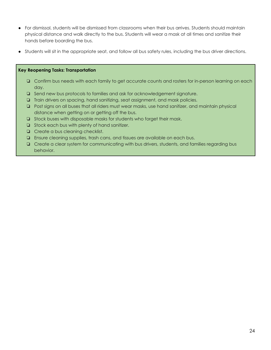- For dismissal, students will be dismissed from classrooms when their bus arrives. Students should maintain physical distance and walk directly to the bus. Students will wear a mask at all times and sanitize their hands before boarding the bus.
- Students will sit in the appropriate seat, and follow all bus safety rules, including the bus driver directions.

### **Key Reopening Tasks: Transportation**

- ❏ Confirm bus needs with each family to get accurate counts and rosters for in-person learning on each day.
- ❏ Send new bus protocols to families and ask for acknowledgement signature.
- ❏ Train drivers on spacing, hand sanitizing, seat assignment, and mask policies.
- ❏ Post signs on all buses that all riders must wear masks, use hand sanitizer, and maintain physical distance when getting on or getting off the bus.
- ❏ Stock buses with disposable masks for students who forget their mask.
- ❏ Stock each bus with plenty of hand sanitizer.
- ❏ Create a bus cleaning checklist.
- ❏ Ensure cleaning supplies, trash cans, and tissues are available on each bus.
- ❏ Create a clear system for communicating with bus drivers, students, and families regarding bus behavior.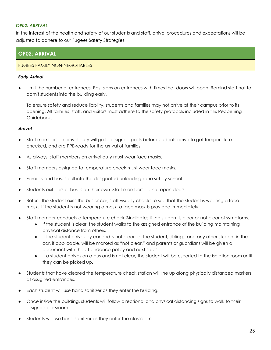# *OP02: ARRIVAL*

In the interest of the health and safety of our students and staff, arrival procedures and expectations will be adjusted to adhere to our Fugees Safety Strategies.

# **OP02: ARRIVAL**

# FUGEES FAMILY NON-NEGOTIABLES

### *Early Arrival*

Limit the number of entrances. Post signs on entrances with times that doors will open. Remind staff not to admit students into the building early.

To ensure safety and reduce liability, students and families may not arrive at their campus prior to its opening. All families, staff, and visitors must adhere to the safety protocols included in this Reopening Guidebook.

### *Arrival*

- Staff members on arrival duty will go to assigned posts before students arrive to get temperature checked, and are PPE-ready for the arrival of families.
- As always, staff members on arrival duty must wear face masks.
- Staff members assigned to temperature check must wear face masks.
- Families and buses pull into the designated unloading zone set by school.
- Students exit cars or buses on their own. Staff members do not open doors.
- Before the student exits the bus or car, staff visually checks to see that the student is wearing a face mask. If the student is not wearing a mask, a face mask is provided immediately.
- Staff member conducts a temperature check &indicates if the student is clear or not clear of symptoms.
	- If the student is clear, the student walks to the assigned entrance of the building maintaining physical distance from others. .
	- If the student arrives by car and is not cleared, the student, siblings, and any other student in the car, if applicable, will be marked as "not clear," and parents or guardians will be given a document with the attendance policy and next steps.
	- If a student arrives on a bus and is not clear, the student will be escorted to the isolation room until they can be picked up.
- Students that have cleared the temperature check station will line up along physically distanced markers at assigned entrances.
- Each student will use hand sanitizer as they enter the building.
- Once inside the building, students will follow directional and physical distancing signs to walk to their assigned classroom.
- Students will use hand sanitizer as they enter the classroom.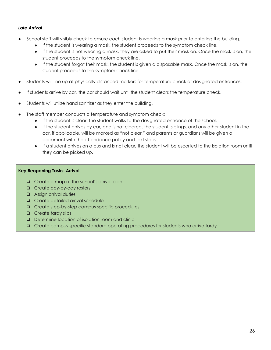# *Late Arrival*

- School staff will visibly check to ensure each student is wearing a mask prior to entering the building.
	- If the student is wearing a mask, the student proceeds to the symptom check line.
	- If the student is not wearing a mask, they are asked to put their mask on. Once the mask is on, the student proceeds to the symptom check line.
	- If the student forgot their mask, the student is given a disposable mask. Once the mask is on, the student proceeds to the symptom check line.
- Students will line up at physically distanced markers for temperature check at designated entrances.
- If students arrive by car, the car should wait until the student clears the temperature check.
- Students will utilize hand sanitizer as they enter the building.
- The staff member conducts a temperature and symptom check:
	- If the student is clear, the student walks to the designated entrance of the school.
	- If the student arrives by car, and is not cleared, the student, siblings, and any other student in the car, if applicable, will be marked as "not clear," and parents or guardians will be given a document with the attendance policy and text steps.
	- If a student arrives on a bus and is not clear, the student will be escorted to the isolation room until they can be picked up.

### **Key Reopening Tasks: Arrival**

- ❏ Create a map of the school's arrival plan.
- ❏ Create day-by-day rosters.
- ❏ Assign arrival duties
- ❏ Create detailed arrival schedule
- ❏ Create step-by-step campus specific procedures
- ❏ Create tardy slips
- ❏ Determine location of isolation room and clinic
- ❏ Create campus-specific standard operating procedures for students who arrive tardy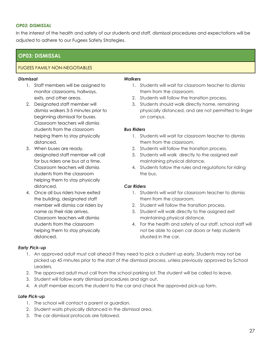### *OP03: DISMISSAL*

In the interest of the health and safety of our students and staff, dismissal procedures and expectations will be adjusted to adhere to our Fugees Safety Strategies.

# **OP03: DISMISSAL**

# FUGEES FAMILY NON-NEGOTIABLES

### *DIsmissal*

- 1. Staff members will be assigned to monitor classrooms, hallways, exits, and other areas.
- 2. Designated staff member will dismiss walkers 3-5 minutes prior to beginning dismissal for buses. Classroom teachers will dismiss students from the classroom helping them to stay physically distanced.
- 3. When buses are ready, designated staff member will call for bus riders one bus at a time. Classroom teachers will dismiss students from the classroom helping them to stay physically distanced.
- 4. Once all bus riders have exited the building, designated staff member will dismiss car riders by name as their ride arrives. Classroom teachers will dismiss students from the classroom helping them to stay physically distanced.

### *Walkers*

- 1. Students will wait for classroom teacher to dismiss them from the classroom.
- 2. Students will follow the transition process.
- 3. Students should walk directly home, remaining physically distanced, and are not permitted to linger on campus.

### *Bus Riders*

- 1. Students will wait for classroom teacher to dismiss them from the classroom.
- 2. Students will follow the transition process.
- 3. Students will walk directly to the assigned exit maintaining physical distance.
- 4. Students follow the rules and regulations for riding the bus.

# *Car Riders*

- 1. Students will wait for classroom teacher to dismiss them from the classroom.
- 2. Student will follow the transition process.
- 3. Student will walk directly to the assigned exit maintaining physical distance.
- 4. For the health and safety of our staff, school staff will not be able to open car doors or help students situated in the car.

# *Early Pick-up*

- 1. An approved adult must call ahead if they need to pick a student up early. Students may not be picked up 45 minutes prior to the start of the dismissal process, unless previously approved by School Leaders.
- 2. The approved adult must call from the school parking lot. The student will be called to leave.
- 3. Student will follow early dismissal procedures and sign out.
- 4. A staff member escorts the student to the car and check the approved pick-up form.

# *Late Pick-up*

- 1. The school will contact a parent or guardian.
- 2. Student waits physically distanced in the dismissal area.
- 3. The car dismissal protocols are followed.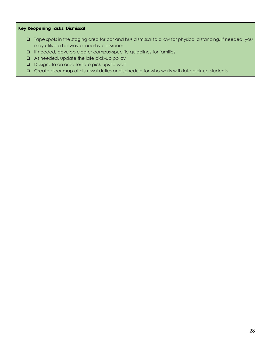# **Key Reopening Tasks: Dismissal**

- ❏ Tape spots in the staging area for car and bus dismissal to allow for physical distancing. If needed, you may utilize a hallway or nearby classroom.
- ❏ If needed, develop clearer campus-specific guidelines for families
- ❏ As needed, update the late pick-up policy
- ❏ Designate an area for late pick-ups to wait
- ❏ Create clear map of dismissal duties and schedule for who waits with late pick-up students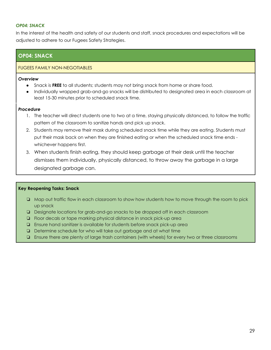### *OP04: SNACK*

In the interest of the health and safety of our students and staff, snack procedures and expectations will be adjusted to adhere to our Fugees Safety Strategies.

# **OP04: SNACK**

### FUGEES FAMILY NON-NEGOTIABLES

### *Overview*

- Snack is **FREE** to all students; students may not bring snack from home or share food.
- Individually wrapped grab-and-go snacks will be distributed to designated area in each classroom at least 15-30 minutes prior to scheduled snack time.

### *Procedure*

- 1. The teacher will direct students one to two at a time, staying physically distanced, to follow the traffic pattern of the classroom to sanitize hands and pick up snack.
- 2. Students may remove their mask during scheduled snack time while they are eating. Students must put their mask back on when they are finished eating or when the scheduled snack time ends whichever happens first.
- 3. When students finish eating, they should keep garbage at their desk until the teacher dismisses them individually, physically distanced, to throw away the garbage in a large designated garbage can.

# **Key Reopening Tasks: Snack**

- ❏ Map out traffic flow in each classroom to show how students how to move through the room to pick up snack
- ❏ Designate locations for grab-and-go snacks to be dropped off in each classroom
- ❏ Floor decals or tape marking physical distance in snack pick-up area
- ❏ Ensure hand sanitizer is available for students before snack pick-up area
- ❏ Determine schedule for who will take out garbage and at what time
- ❏ Ensure there are plenty of large trash containers (with wheels) for every two or three classrooms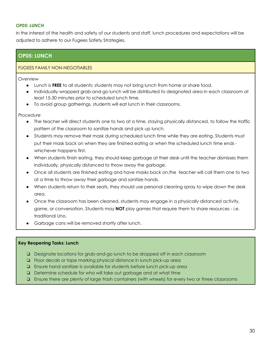### *OP05: LUNCH*

In the interest of the health and safety of our students and staff, lunch procedures and expectations will be adjusted to adhere to our Fugees Safety Strategies.

# **OP05: LUNCH**

### FUGEES FAMILY NON-NEGOTIABLES

*Overview*

- Lunch is **FREE** to all students; students may not bring lunch from home or share food.
- Individually wrapped grab-and-go lunch will be distributed to designated area in each classroom at least 15-30 minutes prior to scheduled lunch time.
- To avoid group gatherings, students will eat lunch in their classrooms.

*Procedure*

- The teacher will direct students one to two at a time, staying physically distanced, to follow the traffic pattern of the classroom to sanitize hands and pick up lunch.
- Students may remove their mask during scheduled lunch time while they are eating. Students must put their mask back on when they are finished eating or when the scheduled lunch time ends whichever happens first.
- When students finish eating, they should keep garbage at their desk until the teacher dismisses them individually, physically distanced to throw away the garbage.
- Once all students are finished eating and have masks back on, the teacher will call them one to two at a time to throw away their garbage and sanitize hands.
- When students return to their seats, they should use personal cleaning spray to wipe down the desk area.
- Once the classroom has been cleaned, students may engage in a physically distanced activity, game, or conversation. Students may **NOT** play games that require them to share resources - i.e. traditional Uno.
- Garbage cans will be removed shortly after lunch.

# **Key Reopening Tasks: Lunch**

- ❏ Designate locations for grab-and-go lunch to be dropped off in each classroom
- ❏ Floor decals or tape marking physical distance in lunch pick-up area
- ❏ Ensure hand sanitizer is available for students before lunch pick-up area
- ❏ Determine schedule for who will take out garbage and at what time
- ❏ Ensure there are plenty of large trash containers (with wheels) for every two or three classrooms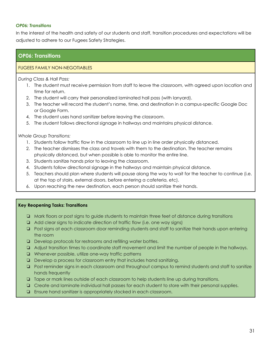### *OP06: Transitions*

In the interest of the health and safety of our students and staff, transition procedures and expectations will be adjusted to adhere to our Fugees Safety Strategies.

# **OP06: Transitions**

# FUGEES FAMILY NON-NEGOTIABLES

*During Class & Hall Pass:*

- 1. The student must receive permission from staff to leave the classroom, with agreed upon location and time for return.
- 2. The student will carry their personalized laminated hall pass (with lanyard).
- 3. The teacher will record the student's name, time, and destination in a campus-specific Google Doc or Google Form.
- 4. The student uses hand sanitizer before leaving the classroom.
- 5. The student follows directional signage in hallways and maintains physical distance.

*Whole Group Transitions:*

- 1. Students follow traffic flow in the classroom to line up in line order physically distanced.
- 2. The teacher dismisses the class and travels with them to the destination. The teacher remains physically distanced, but when possible is able to monitor the entire line.
- 3. Students sanitize hands prior to leaving the classroom.
- 4. Students follow directional signage in the hallways and maintain physical distance.
- 5. Teachers should plan where students will pause along the way to wait for the teacher to continue (i.e. at the top of stairs, external doors, before entering a cafeteria, etc).
- 6. Upon reaching the new destination, each person should sanitize their hands.

### **Key Reopening Tasks: Transitions**

- ❏ Mark floors or post signs to guide students to maintain three feet of distance during transitions
- ❏ Add clear signs to indicate direction of traffic flow (i.e. one way signs)
- ❏ Post signs at each classroom door reminding students and staff to sanitize their hands upon entering the room
- ❏ Develop protocols for restrooms and refilling water bottles.
- ❏ Adjust transition times to coordinate staff movement and limit the number of people in the hallways.
- ❏ Whenever possible, utilize one-way traffic patterns
- ❏ Develop a process for classroom entry that includes hand sanitizing.
- ❏ Post reminder signs in each classroom and throughout campus to remind students and staff to sanitize hands frequently
- ❏ Tape or mark lines outside of each classroom to help students line up during transitions.
- ❏ Create and laminate individual hall passes for each student to store with their personal supplies.
- ❏ Ensure hand sanitizer is appropriately stocked in each classroom.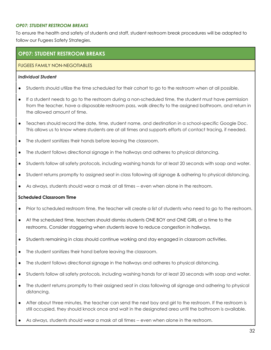### *OP07: STUDENT RESTROOM BREAKS*

To ensure the health and safety of students and staff, student restroom break procedures will be adapted to follow our Fugees Safety Strategies.

# **OP07: STUDENT RESTROOM BREAKS**

# FUGEES FAMILY NON-NEGOTIABLES

### *Individual Student*

- Students should utilize the time scheduled for their cohort to go to the restroom when at all possible.
- If a student needs to go to the restroom during a non-scheduled time, the student must have permission from the teacher, have a disposable restroom pass, walk directly to the assigned bathroom, and return in the allowed amount of time.
- Teachers should record the date, time, student name, and destination in a school-specific Google Doc. This allows us to know where students are at all times and supports efforts of contact tracing, if needed.
- The student sanitizes their hands before leaving the classroom.
- The student follows directional signage in the hallways and adheres to physical distancing.
- Students follow all safety protocols, including washing hands for at least 20 seconds with soap and water.
- Student returns promptly to assigned seat in class following all signage & adhering to physical distancing.
- As always, students should wear a mask at all times -- even when alone in the restroom.

# **Scheduled Classroom Time**

- Prior to scheduled restroom time, the teacher will create a list of students who need to go to the restroom.
- At the scheduled time, teachers should dismiss students ONE BOY and ONE GIRL at a time to the restrooms. Consider staggering when students leave to reduce congestion in hallways.
- Students remaining in class should continue working and stay engaged in classroom activities.
- The student sanitizes their hand before leaving the classroom.
- The student follows directional signage in the hallways and adheres to physical distancing.
- Students follow all safety protocols, including washing hands for at least 20 seconds with soap and water.
- The student returns promptly to their assigned seat in class following all signage and adhering to physical distancing.
- After about three minutes, the teacher can send the next boy and girl to the restroom. If the restroom is still occupied, they should knock once and wait in the designated area until the bathroom is available.
- As always, students should wear a mask at all times -- even when alone in the restroom.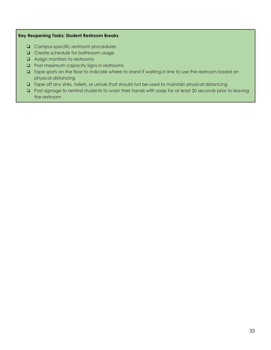# **Key Reopening Tasks: Student Restroom Breaks**

- ❏ Campus-specific restroom procedures
- ❏ Create schedule for bathroom usage
- ❏ Assign monitors to restrooms
- ❏ Post maximum capacity signs in restrooms
- ❏ Tape spots on the floor to indicate where to stand if waiting in line to use the restroom based on physical distancing
- ❏ Tape off any sinks, toilets, or urinals that should not be used to maintain physical distancing
- ❏ Post signage to remind students to wash their hands with soap for at least 20 seconds prior to leaving the restroom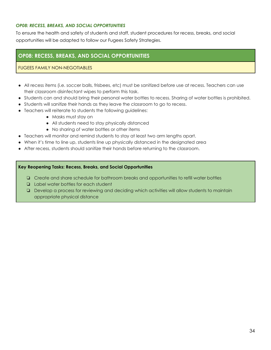# *OP08: RECESS, BREAKS, AND SOCIAL OPPORTUNITIES*

To ensure the health and safety of students and staff, student procedures for recess, breaks, and social opportunities will be adapted to follow our Fugees Safety Strategies.

# **OP08: RECESS, BREAKS, AND SOCIAL OPPORTUNITIES**

### FUGEES FAMILY NON-NEGOTIABLES

- All recess items (i.e. soccer balls, frisbees, etc) must be sanitized before use at recess. Teachers can use their classroom disinfectant wipes to perform this task.
- Students can and should bring their personal water bottles to recess. Sharing of water bottles is prohibited.
- Students will sanitize their hands as they leave the classroom to go to recess.
- Teachers will reiterate to students the following guidelines:
	- Masks must stay on
	- All students need to stay physically distanced
	- No sharing of water bottles or other items
- Teachers will monitor and remind students to stay at least two arm lengths apart.
- When it's time to line up, students line up physically distanced in the designated area
- After recess, students should sanitize their hands before returning to the classroom.

### **Key Reopening Tasks: Recess, Breaks, and Social Opportunities**

- ❏ Create and share schedule for bathroom breaks and opportunities to refill water bottles
- ❏ Label water bottles for each student
- ❏ Develop a process for reviewing and deciding which activities will allow students to maintain appropriate physical distance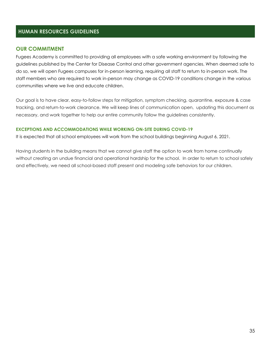# **HUMAN RESOURCES GUIDELINES**

# **OUR COMMITMENT**

Fugees Academy is committed to providing all employees with a safe working environment by following the guidelines published by the Center for Disease Control and other government agencies. When deemed safe to do so, we will open Fugees campuses for in-person learning, requiring all staff to return to in-person work. The staff members who are required to work in-person may change as COVID-19 conditions change in the various communities where we live and educate children.

Our goal is to have clear, easy-to-follow steps for mitigation, symptom checking, quarantine, exposure & case tracking, and return-to-work clearance. We will keep lines of communication open, updating this document as necessary, and work together to help our entire community follow the guidelines consistently.

### **EXCEPTIONS AND ACCOMMODATIONS WHILE WORKING ON-SITE DURING COVID-19**

It is expected that all school employees will work from the school buildings beginning August 6, 2021.

Having students in the building means that we cannot give staff the option to work from home continually without creating an undue financial and operational hardship for the school. In order to return to school safely and effectively, we need all school-based staff present and modeling safe behaviors for our children.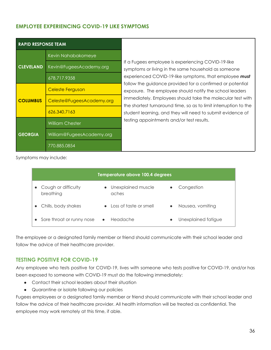# **EMPLOYEE EXPERIENCING COVID-19 LIKE SYMPTOMS**

| <b>RAPID RESPONSE TEAM</b> |                           |  |  |
|----------------------------|---------------------------|--|--|
|                            | Kevin Nahabakomeye        |  |  |
| <b>CLEVELAND</b>           | Kevin@FugeesAcademy.org   |  |  |
|                            | 678.717.9358              |  |  |
|                            | Celeste Ferguson          |  |  |
| <b>COLUMBUS</b>            | Celeste@FugeesAcademy.org |  |  |
|                            | 626.340.7163              |  |  |
|                            | <b>William Chester</b>    |  |  |
| <b>GEORGIA</b>             | William@FugeesAcademy.org |  |  |
|                            | 770.885.0854              |  |  |

If a Fugees employee is experiencing COVID-19-like symptoms or living in the same household as someone experienced COVID-19-like symptoms, that employee *must* follow the guidance provided for a confirmed or potential exposure. The employee should notify the school leaders immediately. Employees should take the molecular test with the shortest turnaround time, so as to limit interruption to the student learning, and they will need to submit evidence of testing appointments and/or test results.

Symptoms may include:

| Temperature above 100.4 degrees  |           |                          |           |                     |  |
|----------------------------------|-----------|--------------------------|-----------|---------------------|--|
| Cough or difficulty<br>breathing | aches     | Unexplained muscle       | $\bullet$ | Congestion          |  |
| • Chills, body shakes            |           | • Loss of taste or smell | $\bullet$ | Nausea, vomiting    |  |
| • Sore throat or runny nose      | $\bullet$ | Headache                 | $\bullet$ | Unexplained fatigue |  |

The employee or a designated family member or friend should communicate with their school leader and follow the advice of their healthcare provider.

# **TESTING POSITIVE FOR COVID-19**

Any employee who tests positive for COVID-19, lives with someone who tests positive for COVID-19, and/or has been exposed to someone with COVID-19 must do the following immediately:

- Contact their school leaders about their situation
- Quarantine or isolate following our policies

Fugees employees or a designated family member or friend should communicate with their school leader and follow the advice of their healthcare provider. All health information will be treated as confidential. The employee may work remotely at this time, if able.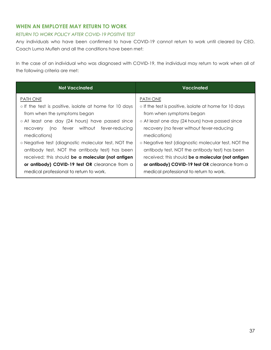# **WHEN AN EMPLOYEE MAY RETURN TO WORK**

# *RETURN TO WORK POLICY AFTER COVID-19 POSITIVE TEST*

Any individuals who have been confirmed to have COVID-19 cannot return to work until cleared by CEO, Coach Luma Mufleh and all the conditions have been met:

In the case of an individual who was diagnosed with COVID-19, the individual may return to work when all of the following criteria are met:

| <b>Not Vaccinated</b>                                  | Vaccinated                                             |  |  |
|--------------------------------------------------------|--------------------------------------------------------|--|--|
| <b>PATH ONE</b>                                        | PATH ONE                                               |  |  |
| o If the test is positive, isolate at home for 10 days | o If the test is positive, isolate at home for 10 days |  |  |
| from when the symptoms began                           | from when symptoms began                               |  |  |
| o At least one day (24 hours) have passed since        | o At least one day (24 hours) have passed since        |  |  |
| fever without fever-reducing<br>(no<br>recovery        | recovery (no fever without fever-reducing              |  |  |
| medications)                                           | medications)                                           |  |  |
| ○ Negative test (diagnostic molecular test, NOT the    | ○ Negative test (diagnostic molecular test, NOT the    |  |  |
| antibody test, NOT the antibody test) has been         | antibody test, NOT the antibody test) has been         |  |  |
| received; this should be a molecular (not antigen      | received; this should be a molecular (not antigen      |  |  |
| or antibody) COVID-19 test OR clearance from a         | or antibody) COVID-19 test OR clearance from a         |  |  |
| medical professional to return to work.                | medical professional to return to work.                |  |  |
|                                                        |                                                        |  |  |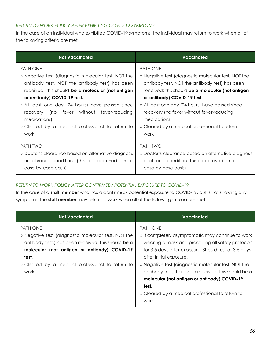# *RETURN TO WORK POLICY AFTER EXHIBITING COVID-19 SYMPTOMS*

In the case of an individual who exhibited COVID-19 symptoms, the individual may return to work when all of the following criteria are met:

| Vaccinated                                          |  |  |
|-----------------------------------------------------|--|--|
| <b>PATH ONE</b>                                     |  |  |
| ○ Negative test (diagnostic molecular test, NOT the |  |  |
| antibody test, NOT the antibody test) has been      |  |  |
| received; this should be a molecular (not antigen   |  |  |
| or antibody) COVID-19 test.                         |  |  |
| ○ At least one day (24 hours) have passed since     |  |  |
| recovery (no fever without fever-reducing           |  |  |
| medications)                                        |  |  |
| ○ Cleared by a medical professional to return to    |  |  |
| work                                                |  |  |
| <b>PATH TWO</b>                                     |  |  |
| ○ Doctor's clearance based on alternative diagnosis |  |  |
| or chronic condition (this is approved on a         |  |  |
| case-by-case basis)                                 |  |  |
|                                                     |  |  |

# *RETURN TO WORK POLICY AFTER CONFIRMED/ POTENTIAL EXPOSURE TO COVID-19*

In the case of a **staff member** who has a confirmed/ potential exposure to COVID-19, but is not showing any symptoms, the **staff member** may return to work when all of the following criteria are met:

| <b>Not Vaccinated</b>                                                                                                                                                                                                                              | <b>Vaccinated</b>                                                                                                                                                                                                                                                                                                                                                                                                                                |
|----------------------------------------------------------------------------------------------------------------------------------------------------------------------------------------------------------------------------------------------------|--------------------------------------------------------------------------------------------------------------------------------------------------------------------------------------------------------------------------------------------------------------------------------------------------------------------------------------------------------------------------------------------------------------------------------------------------|
| <b>PATH ONE</b><br>o Negative test (diagnostic molecular test, NOT the<br>antibody test,) has been received; this should be a<br>molecular (not antigen or antibody) COVID-19<br>test.<br>o Cleared by a medical professional to return to<br>work | <b>PATH ONE</b><br>o If completely asymptomatic may continue to work<br>wearing a mask and practicing all safety protocols<br>for 3-5 days after exposure. Should test at 3-5 days<br>after initial exposure.<br>○ Negative test (diagnostic molecular test, NOT the<br>antibody test,) has been received; this should be a<br>molecular (not antigen or antibody) COVID-19<br>test.<br>• Cleared by a medical professional to return to<br>work |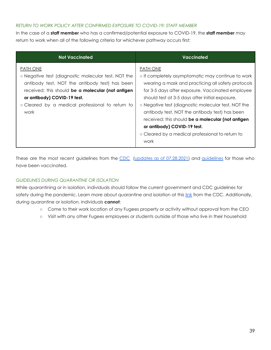# *RETURN TO WORK POLICY AFTER CONFIRMED EXPOSURE TO COVID-19: STAFF MEMBER*

In the case of a **staff member** who has a confirmed/potential exposure to COVID-19, the **staff member** may return to work when all of the following criteria for whichever pathway occurs first:

| <b>Not Vaccinated</b>                                                                                 | Vaccinated                                                                                              |
|-------------------------------------------------------------------------------------------------------|---------------------------------------------------------------------------------------------------------|
| <b>PATH ONE</b>                                                                                       | <b>PATH ONE</b>                                                                                         |
| o Negative test (diagnostic molecular test, NOT the<br>antibody test, NOT the antibody test) has been | o If completely asymptomatic may continue to work<br>wearing a mask and practicing all safety protocols |
| received; this should be a molecular (not antigen<br>or antibody) COVID-19 test.                      | for 3-5 days after exposure. Vaccinated employee<br>should test at 3-5 days after initial exposure.     |
| o Cleared by a medical professional to return to                                                      | o Negative test (diagnostic molecular test, NOT the                                                     |
| work                                                                                                  | antibody test, NOT the antibody test) has been<br>received; this should be a molecular (not antigen     |
|                                                                                                       | or antibody) COVID-19 test.                                                                             |
|                                                                                                       | • Cleared by a medical professional to return to                                                        |
|                                                                                                       | work                                                                                                    |

These are the most recent guidelines from the [CDC](https://www.cdc.gov/coronavirus/2019-ncov/more/scientific-brief-options-to-reduce-quarantine.html) (updates as of [07.28.2021\)](https://www.cdc.gov/coronavirus/2019-ncov/vaccines/fully-vaccinated-guidance.html) and [guidelines](https://www.cdc.gov/coronavirus/2019-ncov/vaccines/fully-vaccinated.html) for those who have been vaccinated.

# *GUIDELINES DURING QUARANTINE OR ISOLATION*

While quarantining or in isolation, individuals should follow the current government and CDC guidelines for safety during the pandemic. Learn more about quarantine and isolation at this [link](https://youtu.be/l3s75_X8Xjs) from the CDC. Additionally, during quarantine or isolation, individuals **cannot**:

- Come to their work location of any Fugees property or activity without approval from the CEO
- Visit with any other Fugees employees or students outside of those who live in their household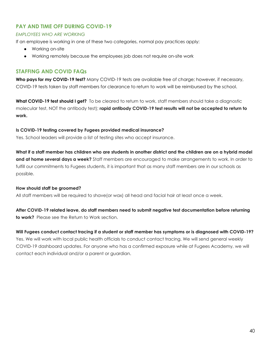# **PAY AND TIME OFF DURING COVID-19**

# *EMPLOYEES WHO ARE WORKING*

If an employee is working in one of these two categories, normal pay practices apply:

- Working on-site
- Working remotely because the employees job does not require on-site work

# **STAFFING AND COVID FAQs**

**Who pays for my COVID-19 test?** Many COVID-19 tests are available free of charge; however, if necessary, COVID-19 tests taken by staff members for clearance to return to work will be reimbursed by the school.

**What COVID-19 test should I get?** To be cleared to return to work, staff members should take a diagnostic molecular test, NOT the antibody test); **rapid antibody COVID-19 test results will not be accepted to return to work.**

# **Is COVID-19 testing covered by Fugees provided medical insurance?**

Yes. School leaders will provide a list of testing sites who accept insurance.

What if a staff member has children who are students in another district and the children are on a hybrid model **and at home several days a week?** Staff members are encouraged to make arrangements to work. In order to fulfill our commitments to Fugees students, it is important that as many staff members are in our schools as possible.

# **How should staff be groomed?**

All staff members will be required to shave(or wax) all head and facial hair at least once a week.

**After COVID-19 related leave, do staff members need to submit negative test documentation before returning to work?** Please see the Return to Work section.

# Will Fugees conduct contact tracing if a student or staff member has symptoms or is diagnosed with COVID-19?

Yes. We will work with local public health officials to conduct contact tracing. We will send general weekly COVID-19 dashboard updates. For anyone who has a confirmed exposure while at Fugees Academy, we will contact each individual and/or a parent or guardian.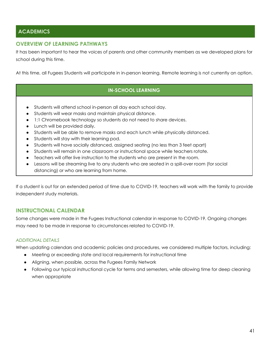# **ACADEMICS**

# **OVERVIEW OF LEARNING PATHWAYS**

It has been important to hear the voices of parents and other community members as we developed plans for school during this time.

At this time, all Fugees Students will participate in in-person learning. Remote learning is not currently an option.

# **IN-SCHOOL LEARNING**

- Students will attend school in-person all day each school day.
- Students will wear masks and maintain physical distance.
- 1:1 Chromebook technology so students do not need to share devices.
- Lunch will be provided daily.
- Students will be able to remove masks and each lunch while physically distanced.
- Students will stay with their learning pod.
- Students will have socially distanced, assigned seating (no less than 3 feet apart)
- Students will remain in one classroom or instructional space while teachers rotate.
- Teachers will offer live instruction to the students who are present in the room.
- Lessons will be streaming live to any students who are seated in a spill-over room (for social distancing) or who are learning from home.

If a student is out for an extended period of time due to COVID-19, teachers will work with the family to provide independent study materials.

# **INSTRUCTIONAL CALENDAR**

Some changes were made in the Fugees Instructional calendar in response to COVID-19. Ongoing changes may need to be made in response to circumstances related to COVID-19.

# *ADDITIONAL DETAILS*

When updating calendars and academic policies and procedures, we considered multiple factors, including:

- Meeting or exceeding state and local requirements for instructional time
- Aligning, when possible, across the Fugees Family Network
- Following our typical instructional cycle for terms and semesters, while allowing time for deep cleaning when appropriate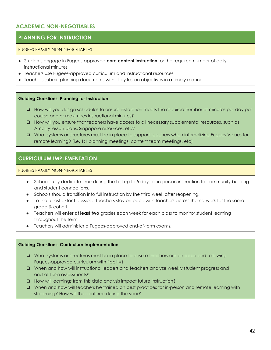# **ACADEMIC NON-NEGOTIABLES**

# **PLANNING FOR INSTRUCTION**

### FUGEES FAMILY NON-NEGOTIABLES

- Students engage in Fugees-approved **core content instruction** for the required number of daily instructional minutes
- Teachers use Fugees-approved curriculum and instructional resources
- Teachers submit planning documents with daily lesson objectives in a timely manner

### **Guiding Questions: Planning for Instruction**

- ❏ How will you design schedules to ensure instruction meets the required number of minutes per day per course and or maximizes instructional minutes?
- ❏ How will you ensure that teachers have access to all necessary supplemental resources, such as Amplify lesson plans, Singapore resources, etc?
- ❏ What systems or structures must be in place to support teachers when internalizing Fugees Values for remote learning? (i.e. 1:1 planning meetings, content team meetings, etc)

# **CURRICULUM IMPLEMENTATION**

### FUGEES FAMILY NON-NEGOTIABLES

- Schools fully dedicate time during the first up to 5 days of in-person instruction to community building and student connections.
- Schools should transition into full instruction by the third week after reopening.
- To the fullest extent possible, teachers stay on pace with teachers across the network for the same grade & cohort.
- Teachers will enter **at least two** grades each week for each class to monitor student learning throughout the term.
- Teachers will administer a Fugees-approved end-of-term exams.

### **Guiding Questions: Curriculum Implementation**

- ❏ What systems or structures must be in place to ensure teachers are on pace and following Fugees-approved curriculum with fidelity?
- ❏ When and how will instructional leaders and teachers analyze weekly student progress and end-of-term assessments?
- ❏ How will learnings from this data analysis impact future instruction?
- ❏ When and how will teachers be trained on best practices for in-person and remote learning with streaming? How will this continue during the year?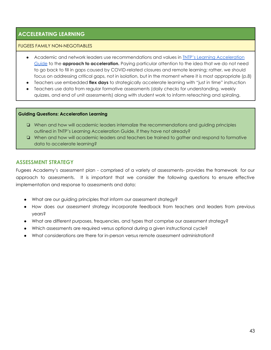# **ACCELERATING LEARNING**

# FUGEES FAMILY NON-NEGOTIABLES

- Academic and network leaders use recommendations and values in **INTP's Learning [Acceleration](https://tntp.org/assets/set-resources/TNTP_Learning_Acceleration_Guide_Final.pdf)** [Guide](https://tntp.org/assets/set-resources/TNTP_Learning_Acceleration_Guide_Final.pdf) to the **approach to acceleration.** Paying particular attention to the idea that we do not need to go back to fill in gaps caused by COVID-related closures and remote learning; rather, we should focus on addressing critical gaps, not in isolation, but in the moment where it is most appropriate (p.8)
- Teachers use embedded **flex days** to strategically accelerate learning with "just in time" instruction
- Teachers use data from regular formative assessments (daily checks for understanding, weekly quizzes, and end of unit assessments) along with student work to inform reteaching and spiraling.

### **Guiding Questions: Acceleration Learning**

- ❏ When and how will academic leaders internalize the recommendations and guiding principles outlined in TNTP's Learning Acceleration Guide, if they have not already?
- ❏ When and how will academic leaders and teachers be trained to gather and respond to formative data to accelerate learning?

# **ASSESSMENT STRATEGY**

Fugees Academy's assessment plan - comprised of a variety of assessments- provides the framework for our approach to assessments. It is important that we consider the following questions to ensure effective implementation and response to assessments and data:

- What are our guiding principles that inform our assessment strategy?
- How does our assessment strategy incorporate feedback from teachers and leaders from previous years?
- What are different purposes, frequencies, and types that comprise our assessment strategy?
- Which assessments are required versus optional during a given instructional cycle?
- What considerations are there for in-person versus remote assessment administration?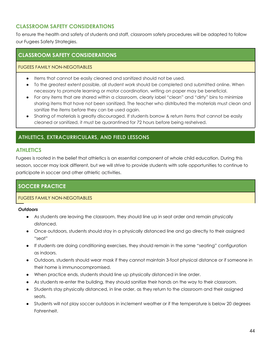# **CLASSROOM SAFETY CONSIDERATIONS**

To ensure the health and safety of students and staff, classroom safety procedures will be adapted to follow our Fugees Safety Strategies.

# **CLASSROOM SAFETY CONSIDERATIONS**

# FUGEES FAMILY NON-NEGOTIABLES

- Items that cannot be easily cleaned and sanitized should not be used.
- To the greatest extent possible, all student work should be completed and submitted online. When necessary to promote learning or motor coordination, writing on paper may be beneficial.
- For any items that are shared within a classroom, clearly label "clean" and "dirty" bins to minimize sharing items that have not been sanitized. The teacher who distributed the materials must clean and sanitize the items before they can be used again.
- Sharing of materials is greatly discouraged. If students borrow & return items that cannot be easily cleaned or sanitized, it must be quarantined for 72 hours before being reshelved.

# **ATHLETICS, EXTRACURRICULARS, AND FIELD LESSONS**

# **ATHLETICS**

Fugees is rooted in the belief that athletics is an essential component of whole child education. During this season, soccer may look different, but we will strive to provide students with safe opportunities to continue to participate in soccer and other athletic activities.

# **SOCCER PRACTICE**

# FUGEES FAMILY NON-NEGOTIABLES

# *Outdoors*

- As students are leaving the classroom, they should line up in seat order and remain physically distanced.
- Once outdoors, students should stay in a physically distanced line and go directly to their assigned "seat"
- If students are doing conditioning exercises, they should remain in the same "seating" configuration as indoors.
- Outdoors, students should wear mask if they cannot maintain 3-foot physical distance or if someone in their home is immunocompromised.
- When practice ends, students should line up physically distanced in line order.
- As students re-enter the building, they should sanitize their hands on the way to their classroom.
- Students stay physically distanced, in line order, as they return to the classroom and their assigned seats.
- Students will not play soccer outdoors in inclement weather or if the temperature is below 20 degrees Fahrenheit.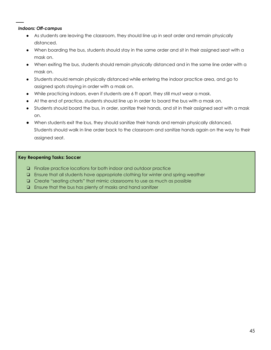# *Indoors: Off-campus*

- As students are leaving the classroom, they should line up in seat order and remain physically distanced.
- When boarding the bus, students should stay in the same order and sit in their assigned seat with a mask on.
- When exiting the bus, students should remain physically distanced and in the same line order with a mask on.
- Students should remain physically distanced while entering the indoor practice area, and go to assigned spots staying in order with a mask on.
- While practicing indoors, even if students are 6 ft apart, they still must wear a mask.
- At the end of practice, students should line up in order to board the bus with a mask on.
- Students should board the bus, in order, sanitize their hands, and sit in their assigned seat with a mask on.
- When students exit the bus, they should sanitize their hands and remain physically distanced. Students should walk in line order back to the classroom and sanitize hands again on the way to their assigned seat.

# **Key Reopening Tasks: Soccer**

- ❏ Finalize practice locations for both indoor and outdoor practice
- ❏ Ensure that all students have appropriate clothing for winter and spring weather
- ❏ Create "seating charts" that mimic classrooms to use as much as possible
- ❏ Ensure that the bus has plenty of masks and hand sanitizer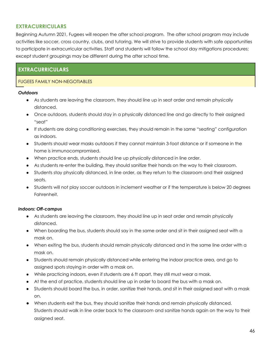# **EXTRACURRICULARS**

Beginning Autumn 2021, Fugees will reopen the after school program. The after school program may include activities like soccer, cross country, clubs, and tutoring. We will strive to provide students with safe opportunities to participate in extracurricular activities. Staff and students will follow the school day mitigations procedures; except student groupings may be different during the after school time.

# **EXTRACURRICULARS**

# FUGEES FAMILY NON-NEGOTIABLES

# *Outdoors*

- As students are leaving the classroom, they should line up in seat order and remain physically distanced.
- Once outdoors, students should stay in a physically distanced line and go directly to their assigned "seat"
- If students are doing conditioning exercises, they should remain in the same "seating" configuration as indoors.
- Students should wear masks outdoors if they cannot maintain 3-foot distance or if someone in the home is immunocompromised.
- When practice ends, students should line up physically distanced in line order.
- As students re-enter the building, they should sanitize their hands on the way to their classroom.
- Students stay physically distanced, in line order, as they return to the classroom and their assigned seats.
- Students will not play soccer outdoors in inclement weather or if the temperature is below 20 degrees Fahrenheit.

# *Indoors: Off-campus*

- As students are leaving the classroom, they should line up in seat order and remain physically distanced.
- When boarding the bus, students should say in the same order and sit in their assigned seat with a mask on.
- When exiting the bus, students should remain physically distanced and in the same line order with a mask on.
- Students should remain physically distanced while entering the indoor practice area, and go to assigned spots staying in order with a mask on.
- While practicing indoors, even if students are 6 ft apart, they still must wear a mask.
- At the end of practice, students should line up in order to board the bus with a mask on.
- Students should board the bus, in order, sanitize their hands, and sit in their assigned seat with a mask on.
- When students exit the bus, they should sanitize their hands and remain physically distanced. Students should walk in line order back to the classroom and sanitize hands again on the way to their assigned seat.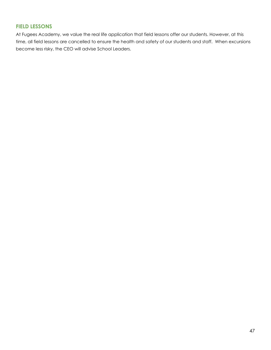# **FIELD LESSONS**

At Fugees Academy, we value the real life application that field lessons offer our students. However, at this time, all field lessons are cancelled to ensure the health and safety of our students and staff. When excursions become less risky, the CEO will advise School Leaders.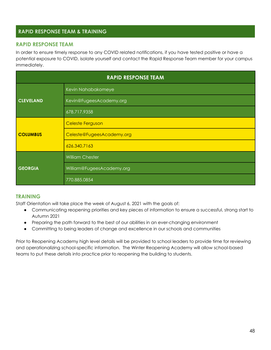# **RAPID RESPONSE TEAM & TRAINING**

# **RAPID RESPONSE TEAM**

In order to ensure timely response to any COVID related notifications, if you have tested positive or have a potential exposure to COVID, isolate yourself and contact the Rapid Response Team member for your campus immediately.

| <b>RAPID RESPONSE TEAM</b> |                           |  |  |
|----------------------------|---------------------------|--|--|
|                            | Kevin Nahabakomeye        |  |  |
| <b>CLEVELAND</b>           | Kevin@FugeesAcademy.org   |  |  |
|                            | 678.717.9358              |  |  |
|                            | <b>Celeste Ferguson</b>   |  |  |
| <b>COLUMBUS</b>            | Celeste@FugeesAcademy.org |  |  |
|                            | 626.340.7163              |  |  |
|                            | <b>William Chester</b>    |  |  |
| <b>GEORGIA</b>             | William@FugeesAcademy.org |  |  |
|                            | 770.885.0854              |  |  |

# **TRAINING**

Staff Orientation will take place the week of August 6, 2021 with the goals of:

- Communicating reopening priorities and key pieces of information to ensure a successful, strong start to Autumn 2021
- Preparing the path forward to the best of our abilities in an ever-changing environment
- Committing to being leaders of change and excellence in our schools and communities

Prior to Reopening Academy high level details will be provided to school leaders to provide time for reviewing and operationalizing school-specific information. The Winter Reopening Academy will allow school-based teams to put these details into practice prior to reopening the building to students.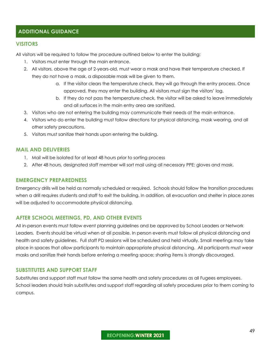# **ADDITIONAL GUIDANCE**

# **VISITORS**

All visitors will be required to follow the procedure outlined below to enter the building:

- 1. Visitors must enter through the main entrance.
- 2. All visitors, above the age of 2-years-old, must wear a mask and have their temperature checked. If they do not have a mask, a disposable mask will be given to them.
	- a. If the visitor clears the temperature check, they will go through the entry process. Once approved, they may enter the building. All visitors must sign the visitors' log.
	- b. If they do not pass the temperature check, the visitor will be asked to leave immediately and all surfaces in the main entry area are sanitized.
- 3. Visitors who are not entering the building may communicate their needs at the main entrance.
- 4. Visitors who do enter the building must follow directions for physical distancing, mask wearing, and all other safety precautions.
- 5. Visitors must sanitize their hands upon entering the building.

### **MAIL AND DELIVERIES**

- 1. Mail will be isolated for at least 48 hours prior to sorting process
- 2. After 48 hours, designated staff member will sort mail using all necessary PPE: gloves and mask.

### **EMERGENCY PREPAREDNESS**

Emergency drills will be held as normally scheduled or required. Schools should follow the transition procedures when a drill requires students and staff to exit the building. In addition, all evacuation and shelter in place zones will be adjusted to accommodate physical distancing.

### **AFTER SCHOOL MEETINGS, PD, AND OTHER EVENTS**

All in-person events must follow event planning guidelines and be approved by School Leaders or Network Leaders. Events should be virtual when at all possible. In person events must follow all physical distancing and health and safety guidelines. Full staff PD sessions will be scheduled and held virtually. Small meetings may take place in spaces that allow participants to maintain appropriate physical distancing. All participants must wear masks and sanitize their hands before entering a meeting space; sharing items is strongly discouraged.

### **SUBSTITUTES AND SUPPORT STAFF**

Substitutes and support staff must follow the same health and safety procedures as all Fugees employees. School leaders should train substitutes and support staff regarding all safety procedures prior to them coming to campus.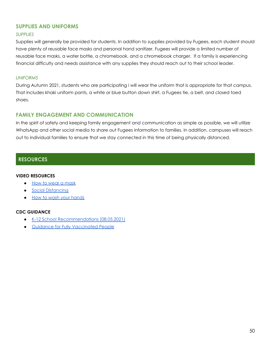# **SUPPLIES AND UNIFORMS**

# *SUPPLIES*

Supplies will generally be provided for students. In addition to supplies provided by Fugees, each student should have plenty of reusable face masks and personal hand sanitizer. Fugees will provide a limited number of reusable face masks, a water bottle, a chromebook, and a chromebook charger. If a family is experiencing financial difficulty and needs assistance with any supplies they should reach out to their school leader.

### *UNIFORMS*

During Autumn 2021, students who are participating i will wear the uniform that is appropriate for that campus. That includes khaki uniform pants, a white or blue button down shirt, a Fugees tie, a belt, and closed toed shoes.

# **FAMILY ENGAGEMENT AND COMMUNICATION**

In the spirit of safety and keeping family engagement and communication as simple as possible, we will utilize WhatsApp and other social media to share out Fugees information to families. In addition, campuses will reach out to individual families to ensure that we stay connected in this time of being physically distanced.

# **RESOURCES**

### **VIDEO RESOURCES**

- How to wear a [mask](https://www.youtube.com/watch?v=PG-xFTktkNw)
- Social [Distancing](https://www.youtube.com/watch?v=Ypm34dEGa2o)
- How to wash your [hands](https://www.youtube.com/watch?v=d914EnpU4Fo&t=18s)

### **CDC GUIDANCE**

- K-12 School [Recommendations](https://www.cdc.gov/coronavirus/2019-ncov/community/schools-childcare/k-12-guidance.html) (08.05.2021)
- Guidance for Fully [Vaccinated](https://www.cdc.gov/coronavirus/2019-ncov/vaccines/fully-vaccinated-guidance.html) People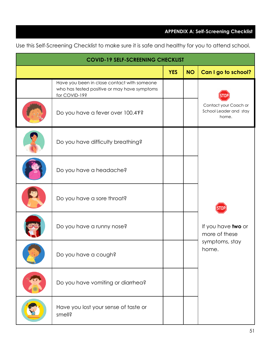# **APPENDIX A: Self-Screening Checklist**

Use this Self-Screening Checklist to make sure it is safe and healthy for you to attend school.

| <b>COVID-19 SELF-SCREENING CHECKLIST</b> |                                                                                                              |            |           |                                                                |  |
|------------------------------------------|--------------------------------------------------------------------------------------------------------------|------------|-----------|----------------------------------------------------------------|--|
|                                          |                                                                                                              | <b>YES</b> | <b>NO</b> | Can I go to school?                                            |  |
|                                          | Have you been in close contact with someone<br>who has tested positive or may have symptoms<br>for COVID-19? |            |           |                                                                |  |
|                                          | Do you have a fever over 100.4°F?                                                                            |            |           | Contact your Coach or<br>School Leader and stay<br>home.       |  |
|                                          | Do you have difficulty breathing?                                                                            |            |           |                                                                |  |
|                                          | Do you have a headache?                                                                                      |            |           |                                                                |  |
|                                          | Do you have a sore throat?                                                                                   |            |           | If you have two or<br>more of these<br>symptoms, stay<br>home. |  |
|                                          | Do you have a runny nose?                                                                                    |            |           |                                                                |  |
|                                          | Do you have a cough?                                                                                         |            |           |                                                                |  |
|                                          | Do you have vomiting or diarrhea?                                                                            |            |           |                                                                |  |
|                                          | Have you lost your sense of taste or<br>smell?                                                               |            |           |                                                                |  |